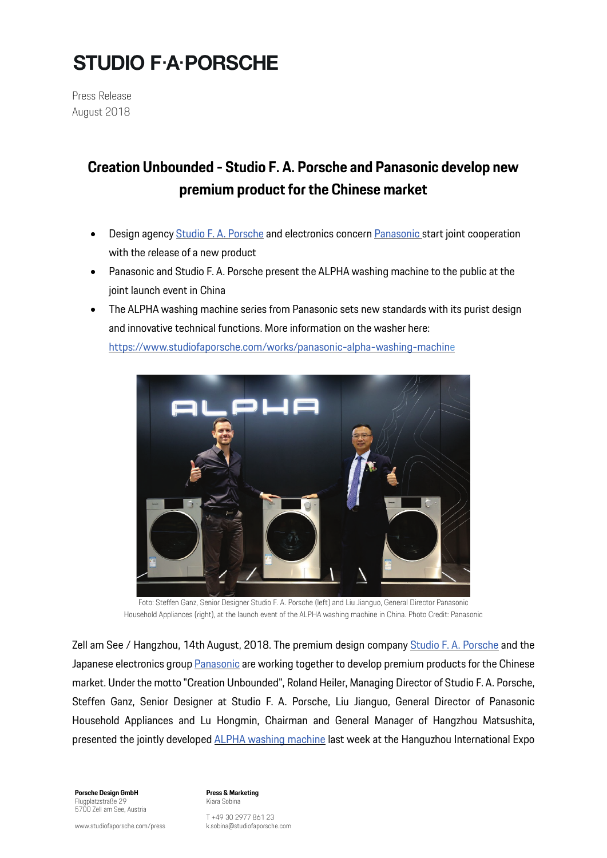# **STUDIO F.A. PORSCHE**

**Press Release** August 2018

### **Creation Unbounded - Studio F. A. Porsche and Panasonic develop new premium product for the Chinese market**

- Design agency Studio F. A. [Porsche](https://www.studiofaporsche.com/) and electronics concern [Panasonic](https://www.panasonic.com/global/home.html) start joint cooperation with the release of a new product
- Panasonic and Studio F. A. Porsche present the ALPHA washing machine to the public at the joint launch event in China
- The ALPHA washing machine series from Panasonic sets new standards with its purist design and innovative technical functions. More information on the washer here: [https://www.studiofaporsche.com/works/panasonic-alpha-washing-machine](https://www.studiofaporsche.com/works/panasonic-alpha-washing-machin)



Foto: Steffen Ganz, Senior Designer Studio F. A. Porsche (left) and Liu Jianguo, General Director Panasonic Household Appliances (right), at the launch event of the ALPHA washing machine in China. Photo Credit: Panasonic

Zell am See / Hangzhou, 14th August, 2018. The premium design company Studio F. A. [Porsche](https://www.studiofaporsche.com/) and the Japanese electronics group [Panasonic](https://www.panasonic.com/global/home.html) are working together to develop premium products for the Chinese market. Under the motto "Creation Unbounded", Roland Heiler, Managing Director of Studio F. A. Porsche, Steffen Ganz, Senior Designer at Studio F. A. Porsche, Liu Jianguo, General Director of Panasonic Household Appliances and Lu Hongmin, Chairman and General Manager of Hangzhou Matsushita, presented the jointly developed **ALPHA** washing [machine](https://www.studiofaporsche.com/works/panasonic-alpha-washing-machin) last week at the Hanguzhou International Expo

**Porsche Design GmbH** Flugplatzstraße 29 5700 Zell am See, Austria **Press & Marketing** Kiara Sobina

T +49 30 2977 861 23 k.sobina@studiofaporsche.com

www.studiofaporsche.com/press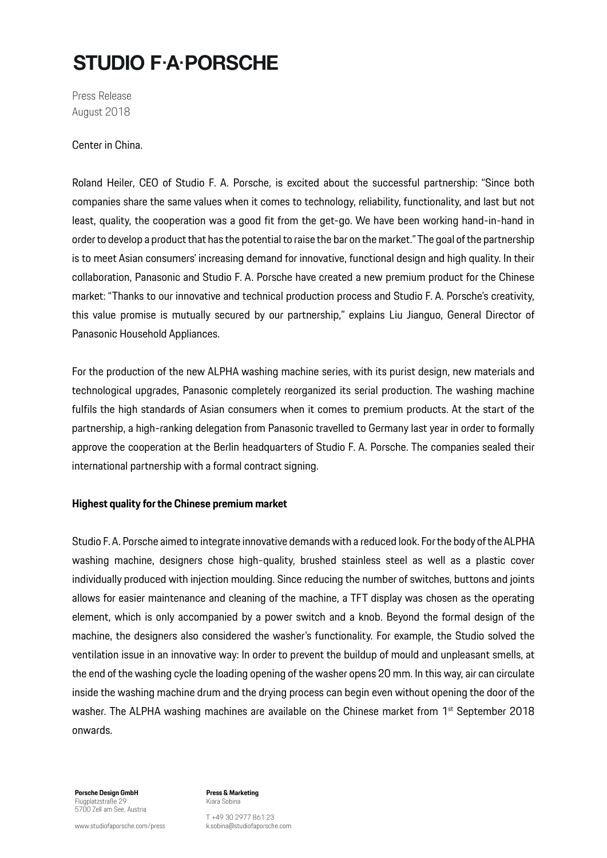## **STUDIO F.A.PORSCHE**

**Press Release** August 2018

Center in China.

Roland Heiler, CEO of Studio F. A. Porsche, is excited about the successful partnership: "Since both companies share the same values when it comes to technology, reliability, functionality, and last but not least, quality, the cooperation was a good fit from the get-go. We have been working hand-in-hand in order to develop a product that has the potential to raise the bar on the market." The goal of the partnership is to meet Asian consumers' increasing demand for innovative, functional design and high quality. In their collaboration, Panasonic and Studio F. A. Porsche have created a new premium product for the Chinese market: "Thanks to our innovative and technical production process and Studio F. A. Porsche's creativity, this value promise is mutually secured by our partnership," explains Liu Jianguo, General Director of Panasonic Household Appliances.

For the production of the new ALPHA washing machine series, with its purist design, new materials and technological upgrades, Panasonic completely reorganized its serial production. The washing machine fulfils the high standards of Asian consumers when it comes to premium products. At the start of the partnership, a high-ranking delegation from Panasonic travelled to Germany last year in order to formally approve the cooperation at the Berlin headquarters of Studio F. A. Porsche. The companies sealed their international partnership with a formal contract signing.

### **Highest quality forthe Chinese premium market**

Studio F.A. Porsche aimed to integrate innovative demands with a reduced look. For the body of the ALPHA washing machine, designers chose high-quality, brushed stainless steel as well as a plastic cover individually produced with injection moulding. Since reducing the number of switches, buttons and joints allows for easier maintenance and cleaning of the machine, a TFT display was chosen as the operating element, which is only accompanied by a power switch and a knob. Beyond the formal design of the machine, the designers also considered the washer's functionality. For example, the Studio solved the ventilation issue in an innovative way: In order to prevent the buildup of mould and unpleasant smells, at the end of the washing cycle the loading opening of the washer opens 20 mm. In this way, air can circulate inside the washing machine drum and the drying process can begin even without opening the door of the washer. The ALPHA washing machines are available on the Chinese market from 1<sup>st</sup> September 2018 onwards.

**Porsche Design GmbH** Flugplatzstraße 29 5700 Zell am See, Austria

www.studiofaporsche.com/press

**Press & Marketing** Kiara Sobina

T +49 30 2977 861 23 k.sobina@studiofaporsche.com